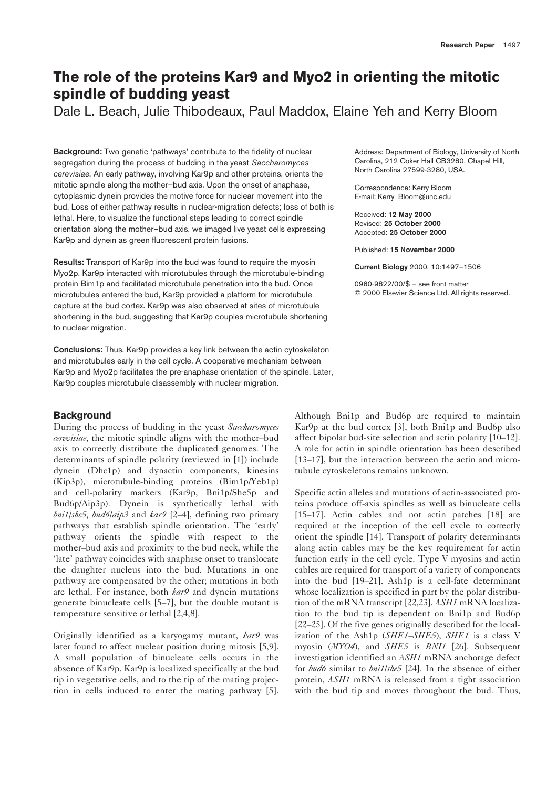# **The role of the proteins Kar9 and Myo2 in orienting the mitotic spindle of budding yeast**

Dale L. Beach, Julie Thibodeaux, Paul Maddox, Elaine Yeh and Kerry Bloom

**Background:** Two genetic 'pathways' contribute to the fidelity of nuclear segregation during the process of budding in the yeast *Saccharomyces cerevisiae*. An early pathway, involving Kar9p and other proteins, orients the mitotic spindle along the mother–bud axis. Upon the onset of anaphase, cytoplasmic dynein provides the motive force for nuclear movement into the bud. Loss of either pathway results in nuclear-migration defects; loss of both is lethal. Here, to visualize the functional steps leading to correct spindle orientation along the mother–bud axis, we imaged live yeast cells expressing Kar9p and dynein as green fluorescent protein fusions.

**Results:** Transport of Kar9p into the bud was found to require the myosin Myo2p. Kar9p interacted with microtubules through the microtubule-binding protein Bim1p and facilitated microtubule penetration into the bud. Once microtubules entered the bud, Kar9p provided a platform for microtubule capture at the bud cortex. Kar9p was also observed at sites of microtubule shortening in the bud, suggesting that Kar9p couples microtubule shortening to nuclear migration.

**Conclusions:** Thus, Kar9p provides a key link between the actin cytoskeleton and microtubules early in the cell cycle. A cooperative mechanism between Kar9p and Myo2p facilitates the pre-anaphase orientation of the spindle. Later, Kar9p couples microtubule disassembly with nuclear migration.

# **Background**

During the process of budding in the yeast *Saccharomyces cerevisiae*, the mitotic spindle aligns with the mother–bud axis to correctly distribute the duplicated genomes. The determinants of spindle polarity (reviewed in [1]) include dynein (Dhc1p) and dynactin components, kinesins (Kip3p), microtubule-binding proteins (Bim1p/Yeb1p) and cell-polarity markers (Kar9p, Bni1p/She5p and Bud6p/Aip3p). Dynein is synthetically lethal with *bni1*/*she5*, *bud6*/*aip3* and *kar9* [2–4], defining two primary pathways that establish spindle orientation. The 'early' pathway orients the spindle with respect to the mother–bud axis and proximity to the bud neck, while the 'late' pathway coincides with anaphase onset to translocate the daughter nucleus into the bud. Mutations in one pathway are compensated by the other; mutations in both are lethal. For instance, both *kar9* and dynein mutations generate binucleate cells [5–7], but the double mutant is temperature sensitive or lethal [2,4,8].

Originally identified as a karyogamy mutant, *kar9* was later found to affect nuclear position during mitosis [5,9]. A small population of binucleate cells occurs in the absence of Kar9p. Kar9p is localized specifically at the bud tip in vegetative cells, and to the tip of the mating projection in cells induced to enter the mating pathway [5].

Address: Department of Biology, University of North Carolina, 212 Coker Hall CB3280, Chapel Hill, North Carolina 27599-3280, USA.

Correspondence: Kerry Bloom E-mail: Kerry\_Bloom@unc.edu

Received: **12 May 2000** Revised: **25 October 2000** Accepted: **25 October 2000**

Published: **15 November 2000**

**Current Biology** 2000, 10:1497–1506

0960-9822/00/\$ – see front matter © 2000 Elsevier Science Ltd. All rights reserved.

Although Bni1p and Bud6p are required to maintain Kar9p at the bud cortex [3], both Bni1p and Bud6p also affect bipolar bud-site selection and actin polarity [10–12]. A role for actin in spindle orientation has been described [13–17], but the interaction between the actin and microtubule cytoskeletons remains unknown.

Specific actin alleles and mutations of actin-associated proteins produce off-axis spindles as well as binucleate cells [15–17]. Actin cables and not actin patches [18] are required at the inception of the cell cycle to correctly orient the spindle [14]. Transport of polarity determinants along actin cables may be the key requirement for actin function early in the cell cycle. Type V myosins and actin cables are required for transport of a variety of components into the bud [19–21]. Ash1p is a cell-fate determinant whose localization is specified in part by the polar distribution of the mRNA transcript [22,23]. *ASH1* mRNA localization to the bud tip is dependent on Bni1p and Bud6p [22–25]. Of the five genes originally described for the localization of the Ash1p (*SHE1*–*SHE5*), *SHE1* is a class V myosin (*MYO4*), and *SHE5* is *BNI1* [26]. Subsequent investigation identified an *ASH1* mRNA anchorage defect for *bud6* similar to *bni1*/*she5* [24]. In the absence of either protein, *ASH1* mRNA is released from a tight association with the bud tip and moves throughout the bud. Thus,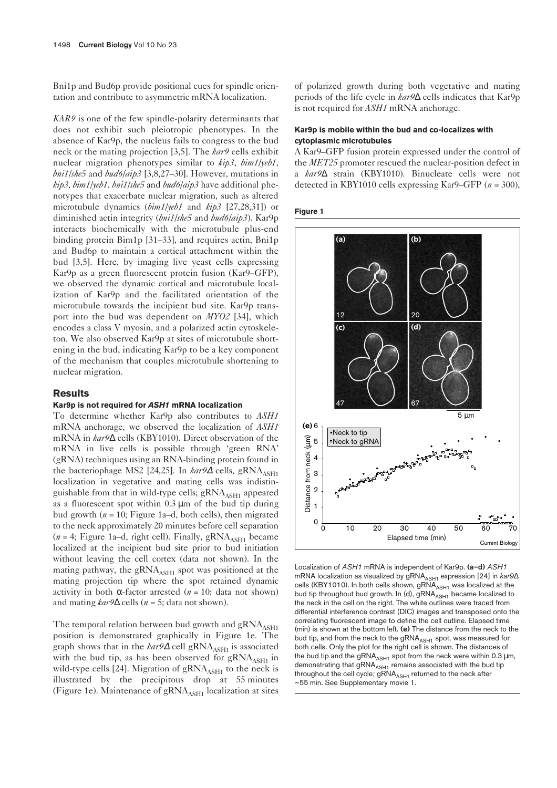Bni1p and Bud6p provide positional cues for spindle orientation and contribute to asymmetric mRNA localization.

*KAR9* is one of the few spindle-polarity determinants that does not exhibit such pleiotropic phenotypes. In the absence of Kar9p, the nucleus fails to congress to the bud neck or the mating projection [3,5]. The *kar9* cells exhibit nuclear migration phenotypes similar to *kip3*, *bim1/yeb1*, *bni1/she5* and *bud6/aip3* [3,8,27–30]. However, mutations in *kip3, bim1/yeb1*, *bni1/she5* and *bud6/aip3* have additional phenotypes that exacerbate nuclear migration, such as altered microtubule dynamics (*bim1/yeb1* and *kip3* [27,28,31]) or diminished actin integrity (*bni1/she5* and *bud6/aip3*). Kar9p interacts biochemically with the microtubule plus-end binding protein Bim1p [31–33], and requires actin, Bni1p and Bud6p to maintain a cortical attachment within the bud [3,5]. Here, by imaging live yeast cells expressing Kar9p as a green fluorescent protein fusion (Kar9–GFP), we observed the dynamic cortical and microtubule localization of Kar9p and the facilitated orientation of the microtubule towards the incipient bud site. Kar9p transport into the bud was dependent on *MYO2* [34], which encodes a class V myosin, and a polarized actin cytoskeleton. We also observed Kar9p at sites of microtubule shortening in the bud, indicating Kar9p to be a key component of the mechanism that couples microtubule shortening to nuclear migration.

# **Results**

## **Kar9p is not required for** *ASH1* **mRNA localization**

To determine whether Kar9p also contributes to *ASH1* mRNA anchorage, we observed the localization of *ASH1* mRNA in *kar9*∆ cells (KBY1010). Direct observation of the mRNA in live cells is possible through 'green RNA' (gRNA) techniques using an RNA-binding protein found in the bacteriophage MS2 [24,25]. In *kar9*∆ cells, gRNA<sub>ASH1</sub> localization in vegetative and mating cells was indistinguishable from that in wild-type cells;  $gRNA<sub>ASH1</sub>$  appeared as a fluorescent spot within  $0.3 \mu m$  of the bud tip during bud growth  $(n = 10;$  Figure 1a–d, both cells), then migrated to the neck approximately 20 minutes before cell separation  $(n = 4;$  Figure 1a–d, right cell). Finally,  $gRNA<sub>ASH1</sub>$  became localized at the incipient bud site prior to bud initiation without leaving the cell cortex (data not shown). In the mating pathway, the  $gRNA<sub>ASH1</sub>$  spot was positioned at the mating projection tip where the spot retained dynamic activity in both  $\alpha$ -factor arrested ( $n = 10$ ; data not shown) and mating  $kar9\Delta$  cells ( $n = 5$ ; data not shown).

The temporal relation between bud growth and  $gRNA<sub>ASH1</sub>$ position is demonstrated graphically in Figure 1e. The graph shows that in the *kar*9∆ cell gRNA<sub>ASH1</sub> is associated with the bud tip, as has been observed for  $\text{gRNA}_{\text{ASH1}}$  in wild-type cells [24]. Migration of  $gRNA<sub>ASH1</sub>$  to the neck is illustrated by the precipitous drop at 55 minutes (Figure 1e). Maintenance of  $gRNA<sub>ASH1</sub>$  localization at sites

of polarized growth during both vegetative and mating periods of the life cycle in *kar9*∆ cells indicates that Kar9p is not required for *ASH1* mRNA anchorage.

## **Kar9p is mobile within the bud and co-localizes with cytoplasmic microtubules**

A Kar9–GFP fusion protein expressed under the control of the *MET25* promoter rescued the nuclear-position defect in a *kar9*∆ strain (KBY1010). Binucleate cells were not detected in KBY1010 cells expressing Kar9–GFP (*n* = 300),





Localization of *ASH1* mRNA is independent of Kar9p. **(a–d)** *ASH1* mRNA localization as visualized by gRNA<sub>ASH1</sub> expression [24] in *kar9*∆ cells (KBY1010). In both cells shown,  $gRNA<sub>ASH1</sub>$  was localized at the bud tip throughout bud growth. In (d),  $\overline{gRNA_{ASH1}}$  became localized to the neck in the cell on the right. The white outlines were traced from differential interference contrast (DIC) images and transposed onto the correlating fluorescent image to define the cell outline. Elapsed time (min) is shown at the bottom left. **(e)** The distance from the neck to the bud tip, and from the neck to the gRNA<sub>ASH1</sub> spot, was measured for both cells. Only the plot for the right cell is shown. The distances of the bud tip and the gRNA $_{\rm ASH1}$  spot from the neck were within 0.3  $\mu$ m, demonstrating that  $\bar{g}$ RNA $\bar{A}_{ASH1}$  remains associated with the bud tip throughout the cell cycle;  $gRNA<sub>ASH1</sub>$  returned to the neck after ~55 min. See Supplementary movie 1.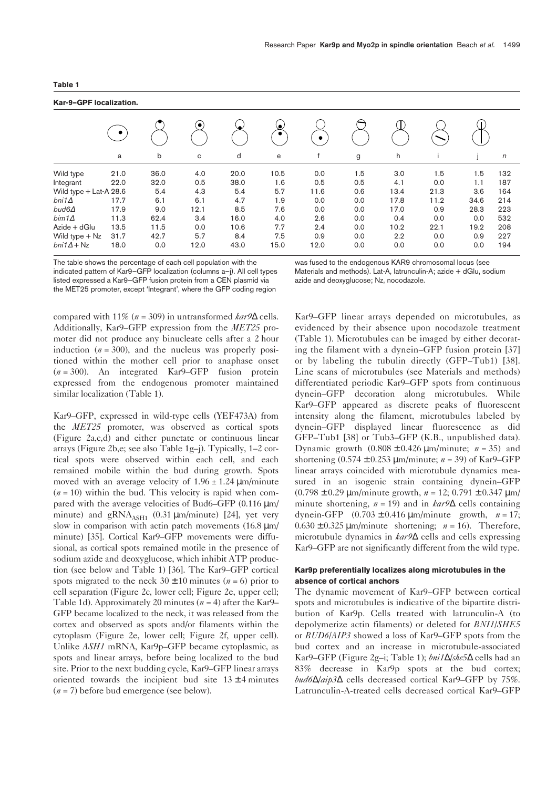| ×<br>×<br>٧<br>۰. |  |
|-------------------|--|
|-------------------|--|

# **Kar-9–GPF localization.**

| .<br>91 - 1994 - 1995 - 19 |      |      |           |      |                |      |     |      |      |      |            |  |
|----------------------------|------|------|-----------|------|----------------|------|-----|------|------|------|------------|--|
|                            |      |      | $\bullet$ |      | ۹<br>$\bullet$ |      |     |      |      |      |            |  |
|                            | a    | b    | C         | d    | e              |      | g   | h    |      |      | $\sqrt{n}$ |  |
| Wild type                  | 21.0 | 36.0 | 4.0       | 20.0 | 10.5           | 0.0  | 1.5 | 3.0  | 1.5  | 1.5  | 132        |  |
| Integrant                  | 22.0 | 32.0 | 0.5       | 38.0 | 1.6            | 0.5  | 0.5 | 4.1  | 0.0  | 1.1  | 187        |  |
| Wild type + Lat-A 28.6     |      | 5.4  | 4.3       | 5.4  | 5.7            | 11.6 | 0.6 | 13.4 | 21.3 | 3.6  | 164        |  |
| $b$ ni1 $\Delta$           | 17.7 | 6.1  | 6.1       | 4.7  | 1.9            | 0.0  | 0.0 | 17.8 | 11.2 | 34.6 | 214        |  |
| $bud6\Delta$               | 17.9 | 9.0  | 12.1      | 8.5  | 7.6            | 0.0  | 0.0 | 17.0 | 0.9  | 28.3 | 223        |  |
| $bim1\Delta$               | 11.3 | 62.4 | 3.4       | 16.0 | 4.0            | 2.6  | 0.0 | 0.4  | 0.0  | 0.0  | 532        |  |
| Azide + dGlu               | 13.5 | 11.5 | 0.0       | 10.6 | 7.7            | 2.4  | 0.0 | 10.2 | 22.1 | 19.2 | 208        |  |
| Wild type $+$ Nz           | 31.7 | 42.7 | 5.7       | 8.4  | 7.5            | 0.9  | 0.0 | 2.2  | 0.0  | 0.9  | 227        |  |
| $bni1\Delta + Nz$          | 18.0 | 0.0  | 12.0      | 43.0 | 15.0           | 12.0 | 0.0 | 0.0  | 0.0  | 0.0  | 194        |  |

The table shows the percentage of each cell population with the indicated pattern of Kar9–GFP localization (columns a–j). All cell types listed expressed a Kar9–GFP fusion protein from a CEN plasmid via the MET25 promoter, except 'Integrant', where the GFP coding region

was fused to the endogenous KAR9 chromosomal locus (see Materials and methods). Lat-A, latrunculin-A; azide + dGlu, sodium azide and deoxyglucose; Nz, nocodazole.

compared with 11% (*n* = 309) in untransformed *kar9*∆ cells. Additionally, Kar9–GFP expression from the *MET25* promoter did not produce any binucleate cells after a 2 hour induction  $(n = 300)$ , and the nucleus was properly positioned within the mother cell prior to anaphase onset (*n* = 300). An integrated Kar9–GFP fusion protein expressed from the endogenous promoter maintained similar localization (Table 1).

Kar9–GFP, expressed in wild-type cells (YEF473A) from the *MET25* promoter, was observed as cortical spots (Figure 2a,c,d) and either punctate or continuous linear arrays (Figure 2b,e; see also Table 1g–j). Typically, 1–2 cortical spots were observed within each cell, and each remained mobile within the bud during growth. Spots moved with an average velocity of  $1.96 \pm 1.24$  µm/minute  $(n = 10)$  within the bud. This velocity is rapid when compared with the average velocities of Bud6–GFP (0.116 µm/ minute) and  $gRNA<sub>ASH1</sub>$  (0.31 µm/minute) [24], yet very slow in comparison with actin patch movements  $(16.8 \,\text{\mu m})$ minute) [35]. Cortical Kar9–GFP movements were diffusional, as cortical spots remained motile in the presence of sodium azide and deoxyglucose, which inhibit ATP production (see below and Table 1) [36]. The Kar9–GFP cortical spots migrated to the neck  $30 \pm 10$  minutes ( $n = 6$ ) prior to cell separation (Figure 2c, lower cell; Figure 2e, upper cell; Table 1d). Approximately 20 minutes (*n* = 4) after the Kar9– GFP became localized to the neck, it was released from the cortex and observed as spots and/or filaments within the cytoplasm (Figure 2e, lower cell; Figure 2f, upper cell). Unlike *ASH1* mRNA, Kar9p–GFP became cytoplasmic, as spots and linear arrays, before being localized to the bud site. Prior to the next budding cycle, Kar9–GFP linear arrays oriented towards the incipient bud site  $13 \pm 4$  minutes (*n* = 7) before bud emergence (see below).

Kar9–GFP linear arrays depended on microtubules, as evidenced by their absence upon nocodazole treatment (Table 1). Microtubules can be imaged by either decorating the filament with a dynein–GFP fusion protein [37] or by labeling the tubulin directly (GFP–Tub1) [38]. Line scans of microtubules (see Materials and methods) differentiated periodic Kar9–GFP spots from continuous dynein–GFP decoration along microtubules. While Kar9–GFP appeared as discrete peaks of fluorescent intensity along the filament, microtubules labeled by dynein–GFP displayed linear fluorescence as did GFP–Tub1 [38] or Tub3–GFP (K.B., unpublished data). Dynamic growth  $(0.808 \pm 0.426 \,\mu\text{m/minute}; n = 35)$  and shortening (0.574 ± 0.253 µm/minute; *n* = 39) of Kar9–GFP linear arrays coincided with microtubule dynamics measured in an isogenic strain containing dynein–GFP (0.798 ± 0.29 µm/minute growth, *n* = 12; 0.791 ± 0.347 µm/ minute shortening, *n* = 19) and in *kar9*∆ cells containing dynein-GFP  $(0.703 \pm 0.416 \,\mu\text{m/minute}$  growth,  $n = 17$ ;  $0.630 \pm 0.325 \,\mu\text{m/minute}$  shortening;  $n = 16$ ). Therefore, microtubule dynamics in *kar9*∆ cells and cells expressing Kar9–GFP are not significantly different from the wild type.

# **Kar9p preferentially localizes along microtubules in the absence of cortical anchors**

The dynamic movement of Kar9–GFP between cortical spots and microtubules is indicative of the bipartite distribution of Kar9p. Cells treated with latrunculin-A (to depolymerize actin filaments) or deleted for *BNI1*/*SHE5* or *BUD6*/*AIP3* showed a loss of Kar9–GFP spots from the bud cortex and an increase in microtubule-associated Kar9–GFP (Figure 2g–i; Table 1); *bni1*∆/*she5*∆ cells had an 83% decrease in Kar9p spots at the bud cortex; *bud6*∆*/aip3*∆ cells decreased cortical Kar9–GFP by 75%. Latrunculin-A-treated cells decreased cortical Kar9–GFP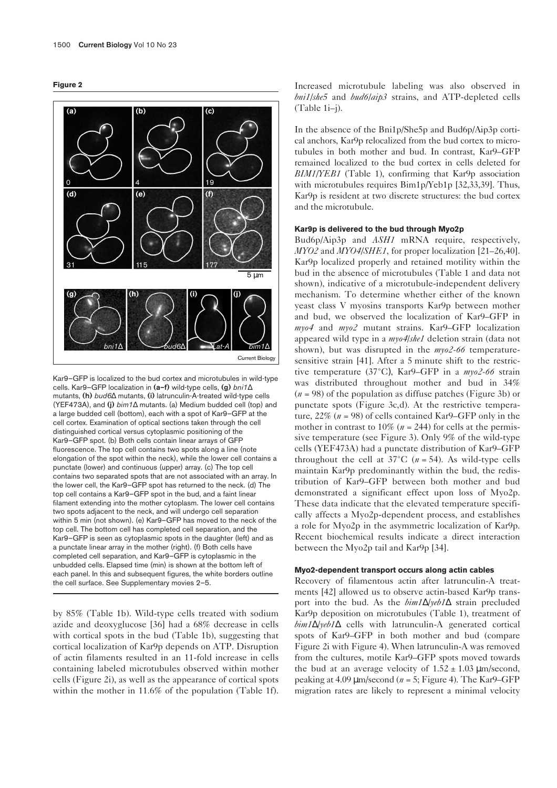



Kar9–GFP is localized to the bud cortex and microtubules in wild-type cells. Kar9–GFP localization in **(a–f)** wild-type cells, **(g)** *bni1*∆ mutants, **(h)** *bud6*∆ mutants, **(i)** latrunculin-A-treated wild-type cells (YEF473A), and **(j)** *bim1*∆ mutants. (a) Medium budded cell (top) and a large budded cell (bottom), each with a spot of Kar9–GFP at the cell cortex. Examination of optical sections taken through the cell distinguished cortical versus cytoplasmic positioning of the Kar9–GFP spot. (b) Both cells contain linear arrays of GFP fluorescence. The top cell contains two spots along a line (note elongation of the spot within the neck), while the lower cell contains a punctate (lower) and continuous (upper) array. (c) The top cell contains two separated spots that are not associated with an array. In the lower cell, the Kar9–GFP spot has returned to the neck. (d) The top cell contains a Kar9–GFP spot in the bud, and a faint linear filament extending into the mother cytoplasm. The lower cell contains two spots adjacent to the neck, and will undergo cell separation within 5 min (not shown). (e) Kar9–GFP has moved to the neck of the top cell. The bottom cell has completed cell separation, and the Kar9–GFP is seen as cytoplasmic spots in the daughter (left) and as a punctate linear array in the mother (right). (f) Both cells have completed cell separation, and Kar9–GFP is cytoplasmic in the unbudded cells. Elapsed time (min) is shown at the bottom left of each panel. In this and subsequent figures, the white borders outline the cell surface. See Supplementary movies 2–5.

by 85% (Table 1b). Wild-type cells treated with sodium azide and deoxyglucose [36] had a 68% decrease in cells with cortical spots in the bud (Table 1b), suggesting that cortical localization of Kar9p depends on ATP. Disruption of actin filaments resulted in an 11-fold increase in cells containing labeled microtubules observed within mother cells (Figure 2i), as well as the appearance of cortical spots within the mother in 11.6% of the population (Table 1f). Increased microtubule labeling was also observed in *bni1/she5* and *bud6/aip3* strains, and ATP-depleted cells (Table 1i–j).

In the absence of the Bni1p/She5p and Bud6p/Aip3p cortical anchors, Kar9p relocalized from the bud cortex to microtubules in both mother and bud. In contrast, Kar9–GFP remained localized to the bud cortex in cells deleted for *BIM1/YEB1* (Table 1), confirming that Kar9p association with microtubules requires Bim1p/Yeb1p [32,33,39]. Thus, Kar9p is resident at two discrete structures: the bud cortex and the microtubule.

## **Kar9p is delivered to the bud through Myo2p**

Bud6p/Aip3p and *ASH1* mRNA require, respectively, *MYO2* and *MYO4/SHE1*, for proper localization [21–26,40]. Kar9p localized properly and retained motility within the bud in the absence of microtubules (Table 1 and data not shown), indicative of a microtubule-independent delivery mechanism. To determine whether either of the known yeast class V myosins transports Kar9p between mother and bud, we observed the localization of Kar9–GFP in *myo4* and *myo2* mutant strains. Kar9–GFP localization appeared wild type in a *myo4*/*she1* deletion strain (data not shown), but was disrupted in the *myo2-66* temperaturesensitive strain [41]. After a 5 minute shift to the restrictive temperature (37°C), Kar9–GFP in a *myo2-66* strain was distributed throughout mother and bud in 34% (*n* = 98) of the population as diffuse patches (Figure 3b) or punctate spots (Figure 3c,d). At the restrictive temperature, 22% (*n* = 98) of cells contained Kar9–GFP only in the mother in contrast to  $10\%$  ( $n = 244$ ) for cells at the permissive temperature (see Figure 3). Only 9% of the wild-type cells (YEF473A) had a punctate distribution of Kar9–GFP throughout the cell at  $37^{\circ}$ C ( $n = 54$ ). As wild-type cells maintain Kar9p predominantly within the bud, the redistribution of Kar9–GFP between both mother and bud demonstrated a significant effect upon loss of Myo2p. These data indicate that the elevated temperature specifically affects a Myo2p-dependent process, and establishes a role for Myo2p in the asymmetric localization of Kar9p. Recent biochemical results indicate a direct interaction between the Myo2p tail and Kar9p [34].

## **Myo2-dependent transport occurs along actin cables**

Recovery of filamentous actin after latrunculin-A treatments [42] allowed us to observe actin-based Kar9p transport into the bud. As the *bim1*∆/*yeb1*∆ strain precluded Kar9p deposition on microtubules (Table 1), treatment of *bim1*∆/*yeb1*∆ cells with latrunculin-A generated cortical spots of Kar9–GFP in both mother and bud (compare Figure 2i with Figure 4). When latrunculin-A was removed from the cultures, motile Kar9–GFP spots moved towards the bud at an average velocity of  $1.52 \pm 1.03 \,\mu m/\text{second}$ , peaking at 4.09 µm/second (*n* = 5; Figure 4). The Kar9–GFP migration rates are likely to represent a minimal velocity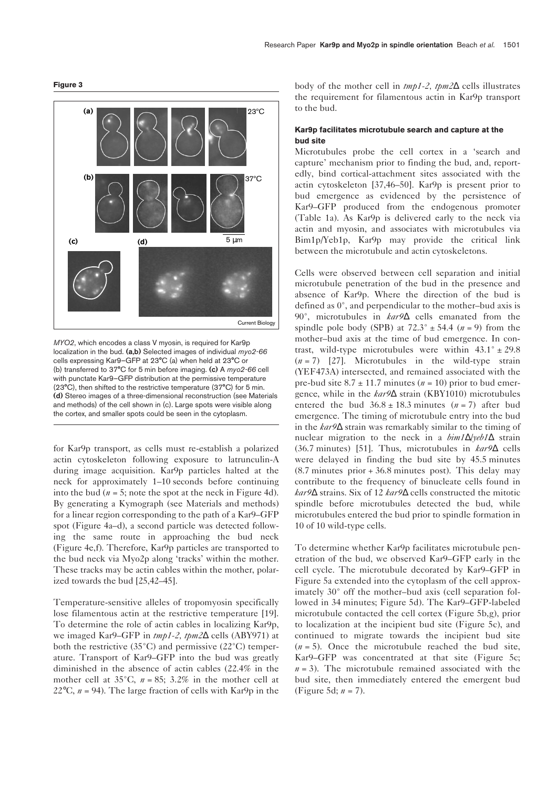



*MYO2*, which encodes a class V myosin, is required for Kar9p localization in the bud. **(a,b)** Selected images of individual *myo2-66* cells expressing Kar9–GFP at 23°C (a) when held at 23°C or (b) transferred to 37°C for 5 min before imaging. **(c)** A *myo2-66* cell with punctate Kar9–GFP distribution at the permissive temperature (23°C), then shifted to the restrictive temperature (37°C) for 5 min. **(d)** Stereo images of a three-dimensional reconstruction (see Materials and methods) of the cell shown in (c). Large spots were visible along the cortex, and smaller spots could be seen in the cytoplasm.

for Kar9p transport, as cells must re-establish a polarized actin cytoskeleton following exposure to latrunculin-A during image acquisition. Kar9p particles halted at the neck for approximately 1–10 seconds before continuing into the bud  $(n = 5)$ ; note the spot at the neck in Figure 4d). By generating a Kymograph (see Materials and methods) for a linear region corresponding to the path of a Kar9–GFP spot (Figure 4a–d), a second particle was detected following the same route in approaching the bud neck (Figure 4e,f). Therefore, Kar9p particles are transported to the bud neck via Myo2p along 'tracks' within the mother. These tracks may be actin cables within the mother, polarized towards the bud [25,42–45].

Temperature-sensitive alleles of tropomyosin specifically lose filamentous actin at the restrictive temperature [19]. To determine the role of actin cables in localizing Kar9p, we imaged Kar9–GFP in *tmp1-2, tpm2*∆ cells (ABY971) at both the restrictive (35°C) and permissive (22°C) temperature. Transport of Kar9–GFP into the bud was greatly diminished in the absence of actin cables (22.4% in the mother cell at  $35^{\circ}$ C,  $n = 85$ ;  $3.2\%$  in the mother cell at 22 $\degree$ C,  $n = 94$ ). The large fraction of cells with Kar $9p$  in the body of the mother cell in *tmp1-2, tpm2*∆ cells illustrates the requirement for filamentous actin in Kar9p transport to the bud.

# **Kar9p facilitates microtubule search and capture at the bud site**

Microtubules probe the cell cortex in a 'search and capture' mechanism prior to finding the bud, and, reportedly, bind cortical-attachment sites associated with the actin cytoskeleton [37,46–50]. Kar9p is present prior to bud emergence as evidenced by the persistence of Kar9–GFP produced from the endogenous promoter (Table 1a). As Kar9p is delivered early to the neck via actin and myosin, and associates with microtubules via Bim1p/Yeb1p, Kar9p may provide the critical link between the microtubule and actin cytoskeletons.

Cells were observed between cell separation and initial microtubule penetration of the bud in the presence and absence of Kar9p. Where the direction of the bud is defined as 0°, and perpendicular to the mother–bud axis is 90°, microtubules in *kar9*∆ cells emanated from the spindle pole body (SPB) at  $72.3^{\circ} \pm 54.4$  ( $n = 9$ ) from the mother–bud axis at the time of bud emergence. In contrast, wild-type microtubules were within  $43.1^{\circ} \pm 29.8$ (*n* = 7) [27]. Microtubules in the wild-type strain (YEF473A) intersected, and remained associated with the pre-bud site  $8.7 \pm 11.7$  minutes ( $n = 10$ ) prior to bud emergence, while in the *kar9*∆ strain (KBY1010) microtubules entered the bud  $36.8 \pm 18.3$  minutes  $(n = 7)$  after bud emergence. The timing of microtubule entry into the bud in the *kar9*∆ strain was remarkably similar to the timing of nuclear migration to the neck in a *bim1*∆/*yeb1*∆ strain (36.7 minutes) [51]. Thus, microtubules in *kar9*∆ cells were delayed in finding the bud site by 45.5 minutes (8.7 minutes prior + 36.8 minutes post). This delay may contribute to the frequency of binucleate cells found in *kar9*∆ strains. Six of 12 *kar9*∆ cells constructed the mitotic spindle before microtubules detected the bud, while microtubules entered the bud prior to spindle formation in 10 of 10 wild-type cells.

To determine whether Kar9p facilitates microtubule penetration of the bud, we observed Kar9–GFP early in the cell cycle. The microtubule decorated by Kar9–GFP in Figure 5a extended into the cytoplasm of the cell approximately 30° off the mother–bud axis (cell separation followed in 34 minutes; Figure 5d). The Kar9–GFP-labeled microtubule contacted the cell cortex (Figure 5b,g), prior to localization at the incipient bud site (Figure 5c), and continued to migrate towards the incipient bud site  $(n = 5)$ . Once the microtubule reached the bud site, Kar9–GFP was concentrated at that site (Figure 5c;  $n = 3$ ). The microtubule remained associated with the bud site, then immediately entered the emergent bud (Figure 5d; *n* = 7).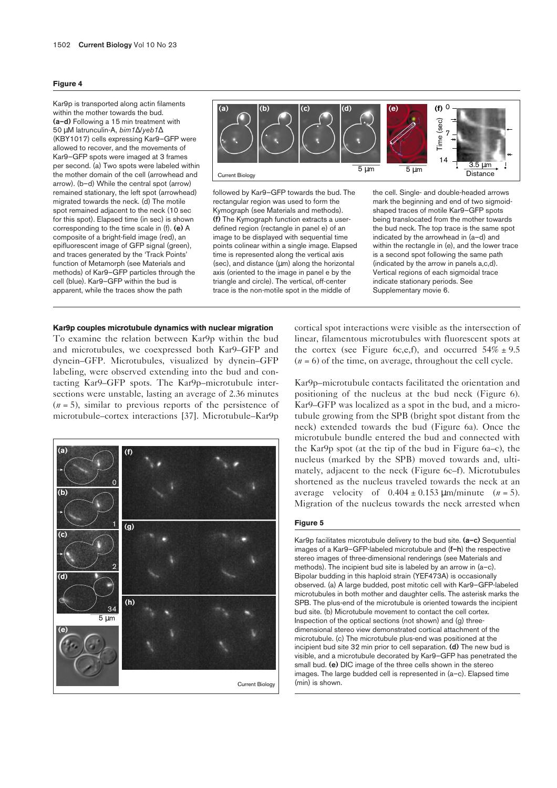#### **Figure 4**

Kar9p is transported along actin filaments within the mother towards the bud. **(a–d)** Following a 15 min treatment with 50 µM latrunculin-A, *bim1*∆/*yeb1*∆ (KBY1017) cells expressing Kar9–GFP were allowed to recover, and the movements of Kar9–GFP spots were imaged at 3 frames per second. (a) Two spots were labeled within the mother domain of the cell (arrowhead and arrow). (b–d) While the central spot (arrow) remained stationary, the left spot (arrowhead) migrated towards the neck. (d) The motile spot remained adjacent to the neck (10 sec for this spot). Elapsed time (in sec) is shown corresponding to the time scale in (f). **(e)** A composite of a bright-field image (red), an epifluorescent image of GFP signal (green), and traces generated by the 'Track Points' function of Metamorph (see Materials and methods) of Kar9–GFP particles through the cell (blue). Kar9–GFP within the bud is apparent, while the traces show the path



followed by Kar9–GFP towards the bud. The rectangular region was used to form the Kymograph (see Materials and methods). **(f)** The Kymograph function extracts a userdefined region (rectangle in panel e) of an image to be displayed with sequential time points colinear within a single image. Elapsed time is represented along the vertical axis  $(sec)$ , and distance  $(µm)$  along the horizontal axis (oriented to the image in panel e by the triangle and circle). The vertical, off-center trace is the non-motile spot in the middle of

the cell. Single- and double-headed arrows mark the beginning and end of two sigmoidshaped traces of motile Kar9–GFP spots being translocated from the mother towards the bud neck. The top trace is the same spot indicated by the arrowhead in (a–d) and within the rectangle in (e), and the lower trace is a second spot following the same path (indicated by the arrow in panels a,c,d). Vertical regions of each sigmoidal trace indicate stationary periods. See Supplementary movie 6.

#### **Kar9p couples microtubule dynamics with nuclear migration**

To examine the relation between Kar9p within the bud and microtubules, we coexpressed both Kar9–GFP and dynein–GFP. Microtubules, visualized by dynein–GFP labeling, were observed extending into the bud and contacting Kar9–GFP spots. The Kar9p–microtubule intersections were unstable, lasting an average of 2.36 minutes  $(n = 5)$ , similar to previous reports of the persistence of microtubule–cortex interactions [37]. Microtubule–Kar9p



cortical spot interactions were visible as the intersection of linear, filamentous microtubules with fluorescent spots at the cortex (see Figure 6c,e,f), and occurred  $54\% \pm 9.5$  $(n = 6)$  of the time, on average, throughout the cell cycle.

Kar9p–microtubule contacts facilitated the orientation and positioning of the nucleus at the bud neck (Figure 6). Kar9–GFP was localized as a spot in the bud, and a microtubule growing from the SPB (bright spot distant from the neck) extended towards the bud (Figure 6a). Once the microtubule bundle entered the bud and connected with the Kar9p spot (at the tip of the bud in Figure 6a–c), the nucleus (marked by the SPB) moved towards and, ultimately, adjacent to the neck (Figure 6c–f). Microtubules shortened as the nucleus traveled towards the neck at an average velocity of  $0.404 \pm 0.153 \,\mu\text{m/min}$  (*n* = 5). Migration of the nucleus towards the neck arrested when

#### **Figure 5**

Kar9p facilitates microtubule delivery to the bud site. **(a–c)** Sequential images of a Kar9–GFP-labeled microtubule and (**f–h**) the respective stereo images of three-dimensional renderings (see Materials and methods). The incipient bud site is labeled by an arrow in (a–c). Bipolar budding in this haploid strain (YEF473A) is occasionally observed. (a) A large budded, post mitotic cell with Kar9–GFP-labeled microtubules in both mother and daughter cells. The asterisk marks the SPB. The plus-end of the microtubule is oriented towards the incipient bud site. (b) Microtubule movement to contact the cell cortex. Inspection of the optical sections (not shown) and (g) threedimensional stereo view demonstrated cortical attachment of the microtubule. (c) The microtubule plus-end was positioned at the incipient bud site 32 min prior to cell separation. **(d)** The new bud is visible, and a microtubule decorated by Kar9–GFP has penetrated the small bud. **(e)** DIC image of the three cells shown in the stereo images. The large budded cell is represented in (a–c). Elapsed time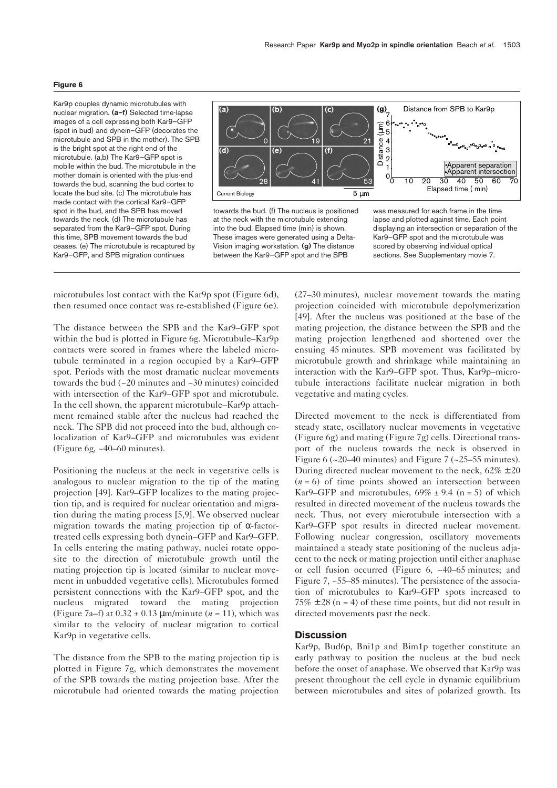#### **Figure 6**

Kar9p couples dynamic microtubules with nuclear migration. **(a–f)** Selected time-lapse images of a cell expressing both Kar9–GFP (spot in bud) and dynein–GFP (decorates the microtubule and SPB in the mother). The SPB is the bright spot at the right end of the microtubule. (a,b) The Kar9–GFP spot is mobile within the bud. The microtubule in the mother domain is oriented with the plus-end towards the bud, scanning the bud cortex to locate the bud site. (c) The microtubule has made contact with the cortical Kar9–GFP spot in the bud, and the SPB has moved towards the neck. (d) The microtubule has separated from the Kar9–GFP spot. During this time, SPB movement towards the bud ceases. (e) The microtubule is recaptured by Kar9–GFP, and SPB migration continues



microtubules lost contact with the Kar9p spot (Figure 6d), then resumed once contact was re-established (Figure 6e).

The distance between the SPB and the Kar9–GFP spot within the bud is plotted in Figure 6g. Microtubule–Kar9p contacts were scored in frames where the labeled microtubule terminated in a region occupied by a Kar9–GFP spot. Periods with the most dramatic nuclear movements towards the bud  $(-20 \text{ minutes and } -30 \text{ minutes})$  coincided with intersection of the Kar9–GFP spot and microtubule. In the cell shown, the apparent microtubule–Kar9p attachment remained stable after the nucleus had reached the neck. The SPB did not proceed into the bud, although colocalization of Kar9–GFP and microtubules was evident (Figure 6g, ~40–60 minutes).

Positioning the nucleus at the neck in vegetative cells is analogous to nuclear migration to the tip of the mating projection [49]. Kar9–GFP localizes to the mating projection tip, and is required for nuclear orientation and migration during the mating process [5,9]. We observed nuclear migration towards the mating projection tip of α-factortreated cells expressing both dynein–GFP and Kar9–GFP. In cells entering the mating pathway, nuclei rotate opposite to the direction of microtubule growth until the mating projection tip is located (similar to nuclear movement in unbudded vegetative cells). Microtubules formed persistent connections with the Kar9–GFP spot, and the nucleus migrated toward the mating projection (Figure 7a–f) at  $0.32 \pm 0.13$  µm/minute ( $n = 11$ ), which was similar to the velocity of nuclear migration to cortical Kar9p in vegetative cells.

The distance from the SPB to the mating projection tip is plotted in Figure 7g, which demonstrates the movement of the SPB towards the mating projection base. After the microtubule had oriented towards the mating projection (27–30 minutes), nuclear movement towards the mating projection coincided with microtubule depolymerization [49]. After the nucleus was positioned at the base of the mating projection, the distance between the SPB and the mating projection lengthened and shortened over the ensuing 45 minutes. SPB movement was facilitated by microtubule growth and shrinkage while maintaining an interaction with the Kar9–GFP spot. Thus, Kar9p–microtubule interactions facilitate nuclear migration in both vegetative and mating cycles.

Directed movement to the neck is differentiated from steady state, oscillatory nuclear movements in vegetative (Figure 6g) and mating (Figure 7g) cells. Directional transport of the nucleus towards the neck is observed in Figure 6 ( $\approx$ 20–40 minutes) and Figure 7 ( $\approx$ 25–55 minutes). During directed nuclear movement to the neck,  $62\% \pm 20$  $(n = 6)$  of time points showed an intersection between Kar9–GFP and microtubules,  $69\% \pm 9.4$  (n = 5) of which resulted in directed movement of the nucleus towards the neck. Thus, not every microtubule intersection with a Kar9–GFP spot results in directed nuclear movement. Following nuclear congression, oscillatory movements maintained a steady state positioning of the nucleus adjacent to the neck or mating projection until either anaphase or cell fusion occurred (Figure 6, ~40–65 minutes; and Figure 7, ~55–85 minutes). The persistence of the association of microtubules to Kar9–GFP spots increased to  $75\% \pm 28$  (n = 4) of these time points, but did not result in directed movements past the neck.

### **Discussion**

Kar9p, Bud6p, Bni1p and Bim1p together constitute an early pathway to position the nucleus at the bud neck before the onset of anaphase. We observed that Kar9p was present throughout the cell cycle in dynamic equilibrium between microtubules and sites of polarized growth. Its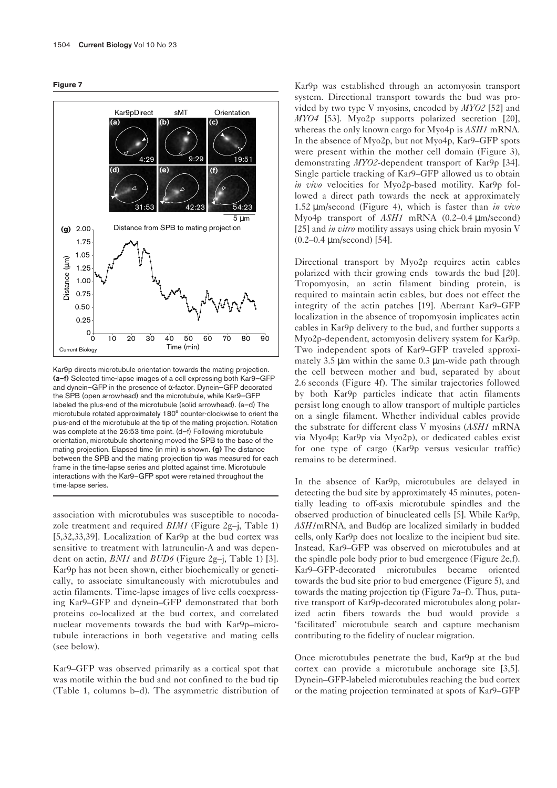



Kar9p directs microtubule orientation towards the mating projection. **(a–f)** Selected time-lapse images of a cell expressing both Kar9–GFP and dynein–GFP in the presence of α-factor. Dynein–GFP decorated the SPB (open arrowhead) and the microtubule, while Kar9–GFP labeled the plus-end of the microtubule (solid arrowhead). (a–d) The microtubule rotated approximately 180° counter-clockwise to orient the plus-end of the microtubule at the tip of the mating projection. Rotation was complete at the 26:53 time point. (d–f) Following microtubule orientation, microtubule shortening moved the SPB to the base of the mating projection. Elapsed time (in min) is shown. **(g)** The distance between the SPB and the mating projection tip was measured for each frame in the time-lapse series and plotted against time. Microtubule interactions with the Kar9–GFP spot were retained throughout the time-lapse series.

association with microtubules was susceptible to nocodazole treatment and required *BIM1* (Figure 2g–j, Table 1) [5,32,33,39]. Localization of Kar9p at the bud cortex was sensitive to treatment with latrunculin-A and was dependent on actin, *BNI1* and *BUD6* (Figure 2g–j, Table 1) [3]. Kar9p has not been shown, either biochemically or genetically, to associate simultaneously with microtubules and actin filaments. Time-lapse images of live cells coexpressing Kar9–GFP and dynein–GFP demonstrated that both proteins co-localized at the bud cortex, and correlated nuclear movements towards the bud with Kar9p–microtubule interactions in both vegetative and mating cells (see below).

Kar9–GFP was observed primarily as a cortical spot that was motile within the bud and not confined to the bud tip (Table 1, columns b–d). The asymmetric distribution of

Kar9p was established through an actomyosin transport system. Directional transport towards the bud was provided by two type V myosins, encoded by *MYO2* [52] and *MYO4* [53]. Myo2p supports polarized secretion [20], whereas the only known cargo for Myo4p is *ASH1* mRNA. In the absence of Myo2p, but not Myo4p, Kar9–GFP spots were present within the mother cell domain (Figure 3), demonstrating *MYO2*-dependent transport of Kar9p [34]. Single particle tracking of Kar9–GFP allowed us to obtain *in vivo* velocities for Myo2p-based motility. Kar9p followed a direct path towards the neck at approximately 1.52 µm/second (Figure 4), which is faster than *in vivo* Myo4p transport of *ASH1* mRNA (0.2–0.4 µm/second) [25] and *in vitro* motility assays using chick brain myosin V (0.2–0.4 µm/second) [54].

Directional transport by Myo2p requires actin cables polarized with their growing ends towards the bud [20]. Tropomyosin, an actin filament binding protein, is required to maintain actin cables, but does not effect the integrity of the actin patches [19]. Aberrant Kar9–GFP localization in the absence of tropomyosin implicates actin cables in Kar9p delivery to the bud, and further supports a Myo2p-dependent, actomyosin delivery system for Kar9p. Two independent spots of Kar9–GFP traveled approximately 3.5  $\mu$ m within the same 0.3  $\mu$ m-wide path through the cell between mother and bud, separated by about 2.6 seconds (Figure 4f). The similar trajectories followed by both Kar9p particles indicate that actin filaments persist long enough to allow transport of multiple particles on a single filament. Whether individual cables provide the substrate for different class V myosins (*ASH1* mRNA via Myo4p; Kar9p via Myo2p), or dedicated cables exist for one type of cargo (Kar9p versus vesicular traffic) remains to be determined.

In the absence of Kar9p, microtubules are delayed in detecting the bud site by approximately 45 minutes, potentially leading to off-axis microtubule spindles and the observed production of binucleated cells [5]. While Kar9p, *ASH1*mRNA, and Bud6p are localized similarly in budded cells, only Kar9p does not localize to the incipient bud site. Instead, Kar9–GFP was observed on microtubules and at the spindle pole body prior to bud emergence (Figure 2e,f). Kar9–GFP-decorated microtubules became oriented towards the bud site prior to bud emergence (Figure 5), and towards the mating projection tip (Figure 7a–f). Thus, putative transport of Kar9p-decorated microtubules along polarized actin fibers towards the bud would provide a 'facilitated' microtubule search and capture mechanism contributing to the fidelity of nuclear migration.

Once microtubules penetrate the bud, Kar9p at the bud cortex can provide a microtubule anchorage site [3,5]. Dynein–GFP-labeled microtubules reaching the bud cortex or the mating projection terminated at spots of Kar9–GFP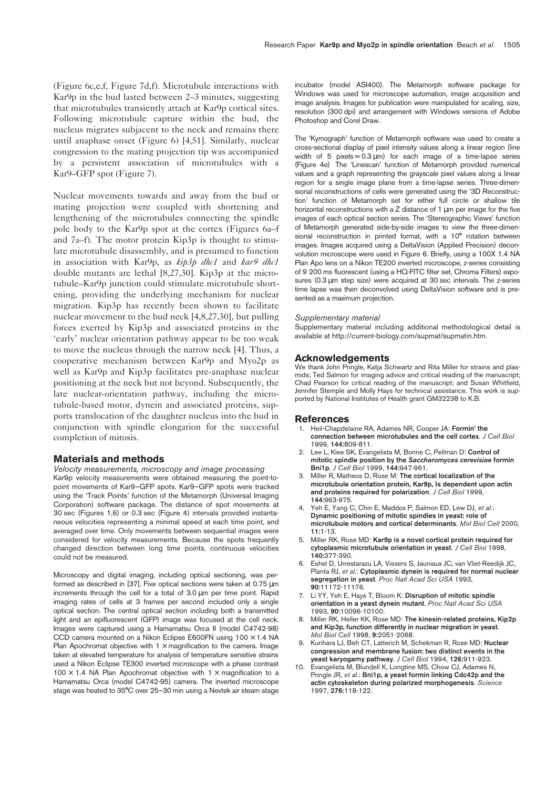(Figure 6c,e,f, Figure 7d,f). Microtubule interactions with Kar9p in the bud lasted between 2–3 minutes, suggesting that microtubules transiently attach at Kar9p cortical sites. Following microtubule capture within the bud, the nucleus migrates subjacent to the neck and remains there until anaphase onset (Figure 6) [4,51]. Similarly, nuclear congression to the mating projection tip was accompanied by a persistent association of microtubules with a Kar9–GFP spot (Figure 7).

Nuclear movements towards and away from the bud or mating projection were coupled with shortening and lengthening of the microtubules connecting the spindle pole body to the Kar9p spot at the cortex (Figures 6a–f and 7a–f). The motor protein Kip3p is thought to stimulate microtubule disassembly, and is presumed to function in association with Kar9p, as *kip3p dhc1* and *kar9 dhc1* double mutants are lethal [8,27,30]. Kip3p at the microtubule–Kar9p junction could stimulate microtubule shortening, providing the underlying mechanism for nuclear migration. Kip3p has recently been shown to facilitate nuclear movement to the bud neck [4,8,27,30], but pulling forces exerted by Kip3p and associated proteins in the 'early' nuclear orientation pathway appear to be too weak to move the nucleus through the narrow neck [4]. Thus, a cooperative mechanism between Kar9p and Myo2p as well as Kar9p and Kip3p facilitates pre-anaphase nuclear positioning at the neck but not beyond. Subsequently, the late nuclear-orientation pathway, including the microtubule-based motor, dynein and associated proteins, supports translocation of the daughter nucleus into the bud in conjunction with spindle elongation for the successful completion of mitosis.

#### **Materials and methods**

*Velocity measurements, microscopy and image processing* Kar9p velocity measurements were obtained measuring the point-topoint movements of Kar9–GFP spots. Kar9–GFP spots were tracked using the 'Track Points' function of the Metamorph (Universal Imaging Corporation) software package. The distance of spot movements at 30 sec (Figures 1,6) or 0.3 sec (Figure 4) intervals provided instantaneous velocities representing a minimal speed at each time point, and averaged over time. Only movements between sequential images were considered for velocity measurements. Because the spots frequently changed direction between long time points, continuous velocities could not be measured.

Microscopy and digital imaging, including optical sectioning, was performed as described in [37]. Five optical sections were taken at 0.75 µm increments through the cell for a total of 3.0 µm per time point. Rapid imaging rates of cells at 3 frames per second included only a single optical section. The central optical section including both a transmitted light and an epifluorescent (GFP) image was focused at the cell neck. Images were captured using a Hamamatsu Orca II (model C4742-98) CCD camera mounted on a Nikon Eclipse E600FN using  $100 \times 1.4$  NA Plan Apochromat objective with  $1 \times$  magnification to the camera. Image taken at elevated temperature for analysis of temperature sensitive strains used a Nikon Eclipse TE300 inverted microscope with a phase contrast 100  $\times$  1.4 NA Plan Apochromat objective with 1  $\times$  magnification to a Hamamatsu Orca (model C4742-95) camera. The inverted microscope stage was heated to 35°C over 25–30 min using a Nevtek air steam stage

incubator (model ASI400). The Metamorph software package for Windows was used for microscope automation, image acquisition and image analysis. Images for publication were manipulated for scaling, size, resolution (300 dpi) and arrangement with Windows versions of Adobe Photoshop and Corel Draw.

The 'Kymograph' function of Metamorph software was used to create a cross-sectional display of pixel intensity values along a linear region (line width of 5 pixels =  $0.3 \mu m$ ) for each image of a time-lapse series (Figure 4e) The 'Linescan' function of Metamorph provided numerical values and a graph representing the grayscale pixel values along a linear region for a single image plane from a time-lapse series. Three-dimensional reconstructions of cells were generated using the '3D Reconstruction' function of Metamorph set for either full circle or shallow tile horizontal reconstructions with a Z distance of 1 um per image for the five images of each optical section series. The 'Stereographic Views' function of Metamorph generated side-by-side images to view the three-dimensional reconstruction in printed format, with a 10° rotation between images. Images acquired using a DeltaVision (Applied Precision) deconvolution microscope were used in Figure 6. Briefly, using a 100X 1.4 NA Plan Apo lens on a Nikon TE200 inverted microscope, z-series consisting of 9 200 ms fluorescent (using a HQ-FITC filter set, Chroma Filters) exposures (0.3 µm step size) were acquired at 30 sec intervals. The z-series time lapse was then deconvolved using DeltaVision software and is presented as a maximum projection.

#### *Supplementary material*

Supplementary material including additional methodological detail is available at http://current-biology.com/supmat/supmatin.htm.

#### **Acknowledgements**

We thank John Pringle, Katja Schwartz and Rita Miller for strains and plasmids; Ted Salmon for imaging advice and critical reading of the manuscript; Chad Pearson for critical reading of the manuscript; and Susan Whitfield, Jennifer Stemple and Molly Hays for technical assistance. This work is supported by National Institutes of Health grant GM32238 to K.B.

#### **References**

- 1. Heil-Chapdelaine RA, Adames NR, Cooper JA: **Formin' the connection between microtubules and the cell cortex***. J Cell Biol* 1999, **144:**809-811.
- 2. Lee L, Klee SK, Evangelista M, Bonne C, Pellman D: **Control of mitotic spindle position by the** *Saccharomyces cerevisiae* **formin Bni1p***. J Cell Biol* 1999, **144:**947-961.
- 3. Miller R, Matheos D, Rose M: **The cortical localization of the microtubule orientation protein, Kar9p, Is dependent upon actin and proteins required for polarization***. J Cell Biol* 1999, **144:**963-975.
- 4. Yeh E, Yang C, Chin E, Maddox P, Salmon ED, Lew DJ, *et al*.: **Dynamic positioning of mitotic spindles in yeast: role of microtubule motors and cortical determinants***. Mol Biol Cell* 2000, **11:**1-13.
- 5. Miller RK, Rose MD: **Kar9p is a novel cortical protein required for cytoplasmic microtubule orientation in yeast***. J Cell Biol* 1998, **140:**377-390.
- 6. Eshel D, Urrestarazu LA, Vissers S, Jauniaux JC, van Vliet-Reedijk JC, Planta RJ, *et al*.: **Cytoplasmic dynein is required for normal nuclear segregation in yeast***. Proc Natl Acad Sci USA* 1993, **90:**11172-11176.
- 7. Li YY, Yeh E, Hays T, Bloom K: **Disruption of mitotic spindle orientation in a yeast dynein mutant***. Proc Natl Acad Sci USA* 1993, **90:**10096-10100.
- 8. Miller RK, Heller KK, Rose MD: **The kinesin-related proteins, Kip2p and Kip3p, function differently in nuclear migration in yeast***. Mol Biol Cell* 1998, **9:**2051-2068.
- 9. Kurihara LJ, Beh CT, Latterich M, Schekman R, Rose MD: **Nuclear congression and membrane fusion: two distinct events in the yeast karyogamy pathway***. J Cell Biol* 1994, **126:**911-923.
- Evangelista M, Blundell K, Longtine MS, Chow CJ, Adames N Pringle JR, *et al*.: **Bni1p, a yeast formin linking Cdc42p and the actin cytoskeleton during polarized morphogenesis***. Science* 1997, **276:**118-122.